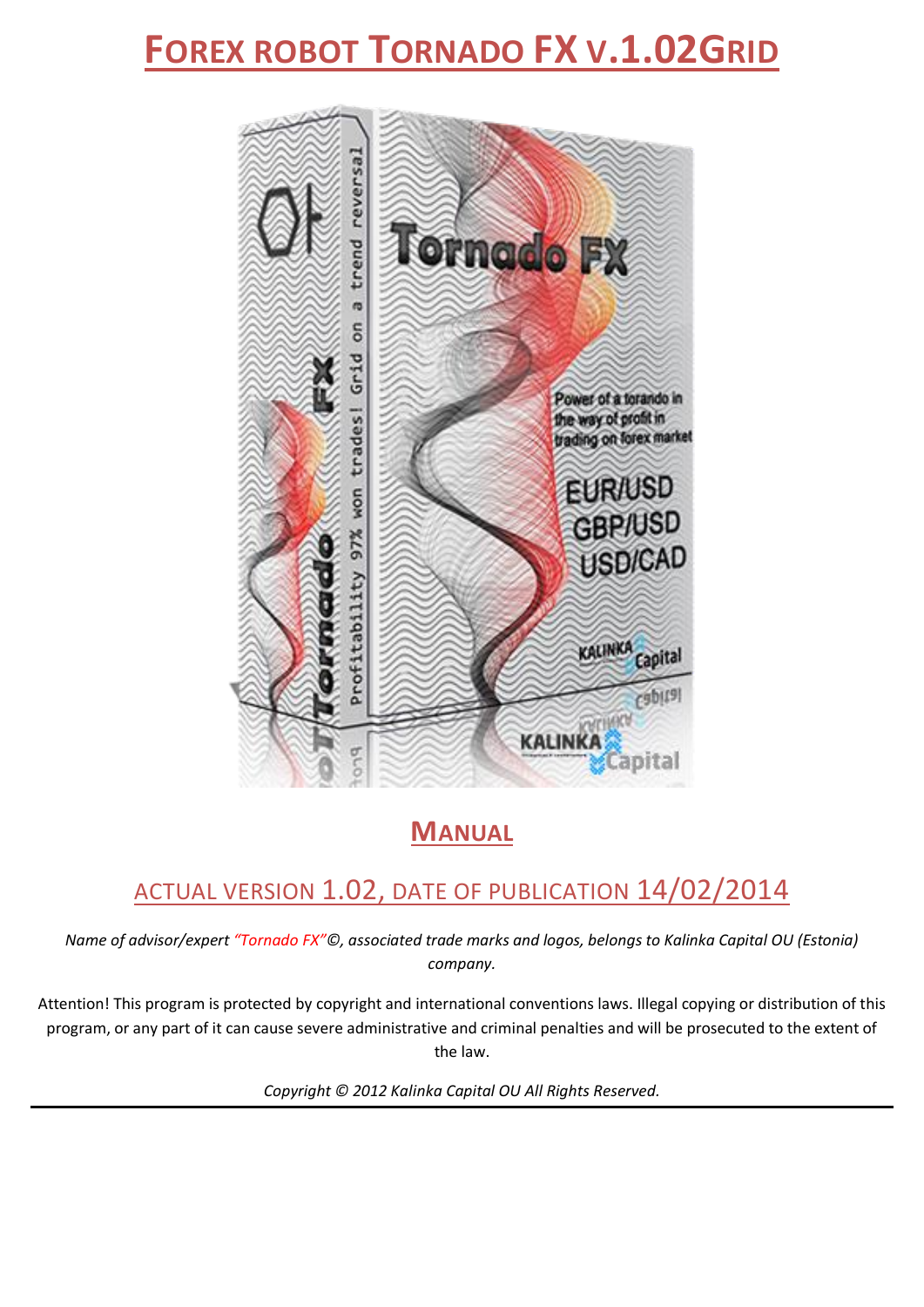# **FOREX ROBOT TORNADO FX V.1.02GRID**



# **MANUAL**

# ACTUAL VERSION 1.02, DATE OF PUBLICATION 14/02/2014

*Name of advisor/expert "Tornado FX"©, associated trade marks and logos, belongs to Kalinka Capital OU (Estonia) company.*

Attention! This program is protected by copyright and international conventions laws. Illegal copying or distribution of this program, or any part of it can cause severe administrative and criminal penalties and will be prosecuted to the extent of the law.

*Copyright © 2012 Kalinka Capital OU All Rights Reserved.*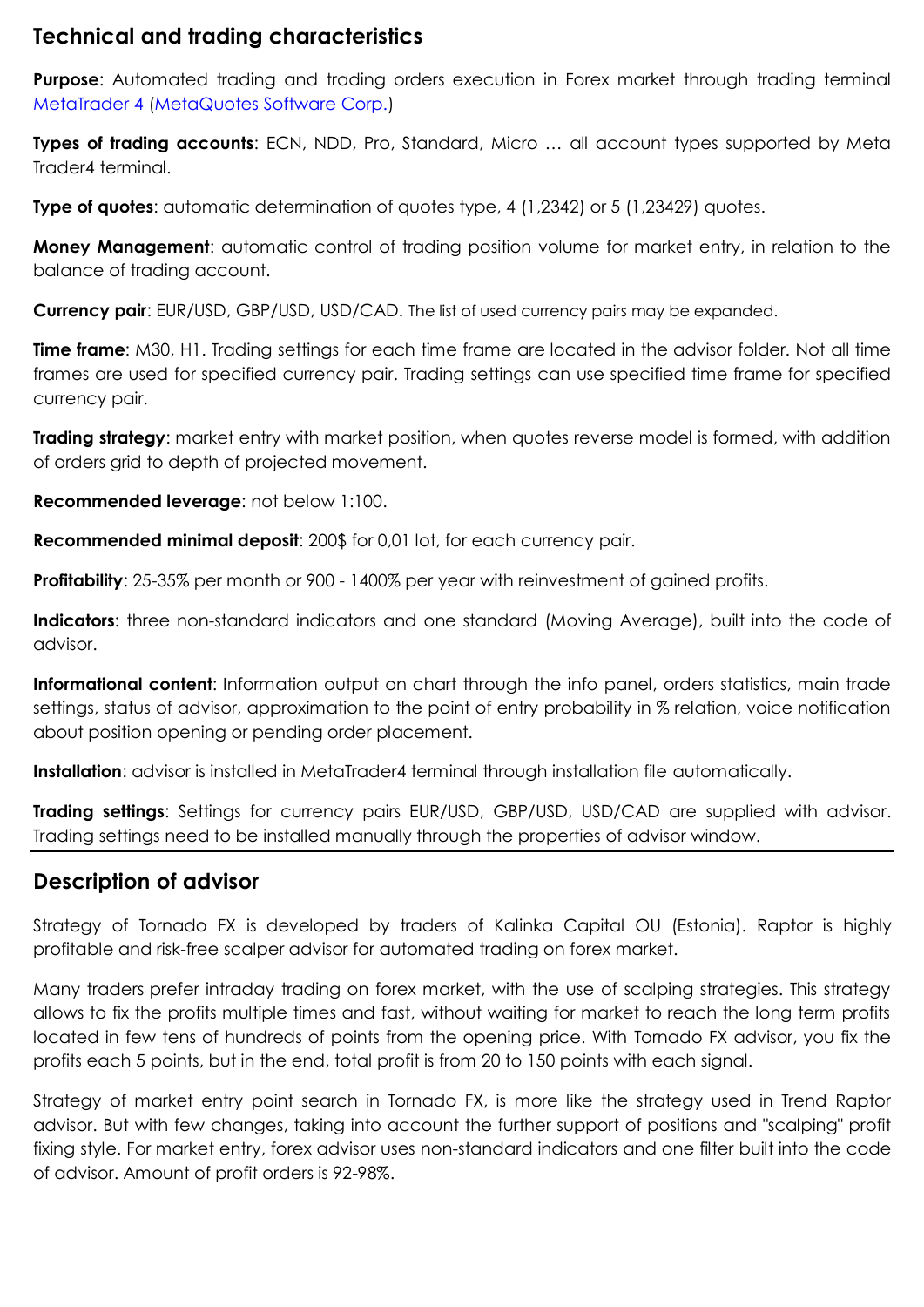#### **Technical and trading characteristics**

**Purpose:** Automated trading and trading orders execution in Forex market through trading terminal [MetaTrader](http://www.metaquotes.net/ru/metatrader4) 4 [\(MetaQuotes](http://www.metaquotes.net/ru) Software Corp.)

**Types of trading accounts**: ECN, NDD, Pro, Standard, Micro … all account types supported by Meta Trader4 terminal.

**Type of quotes:** automatic determination of quotes type, 4 (1,2342) or 5 (1,23429) quotes.

**Money Management:** automatic control of trading position volume for market entry, in relation to the balance of trading account.

**Currency pair**: EUR/USD, GBP/USD, USD/CAD. The list of used currency pairs may be expanded.

**Time frame**: M30, H1. Trading settings for each time frame are located in the advisor folder. Not all time frames are used for specified currency pair. Trading settings can use specified time frame for specified currency pair.

**Trading strategy**: market entry with market position, when quotes reverse model is formed, with addition of orders grid to depth of projected movement.

**Recommended leverage**: not below 1:100.

**Recommended minimal deposit**: 200\$ for 0,01 lot, for each currency pair.

**Profitability**: 25-35% per month or 900 - 1400% per year with reinvestment of gained profits.

**Indicators**: three non-standard indicators and one standard (Moving Average), built into the code of advisor.

**Informational content**: Information output on chart through the info panel, orders statistics, main trade settings, status of advisor, approximation to the point of entry probability in % relation, voice notification about position opening or pending order placement.

**Installation**: advisor is installed in MetaTrader4 terminal through installation file automatically.

**Trading settings**: Settings for currency pairs EUR/USD, GBP/USD, USD/CAD are supplied with advisor. Trading settings need to be installed manually through the properties of advisor window.

#### **Description of advisor**

Strategy of Tornado FX is developed by traders of Kalinka Capital OU (Estonia). Raptor is highly profitable and risk-free scalper advisor for automated trading on forex market.

Many traders prefer intraday trading on forex market, with the use of scalping strategies. This strategy allows to fix the profits multiple times and fast, without waiting for market to reach the long term profits located in few tens of hundreds of points from the opening price. With Tornado FX advisor, you fix the profits each 5 points, but in the end, total profit is from 20 to 150 points with each signal.

Strategy of market entry point search in Tornado FX, is more like the strategy used in Trend Raptor advisor. But with few changes, taking into account the further support of positions and "scalping" profit fixing style. For market entry, forex advisor uses non-standard indicators and one filter built into the code of advisor. Amount of profit orders is 92-98%.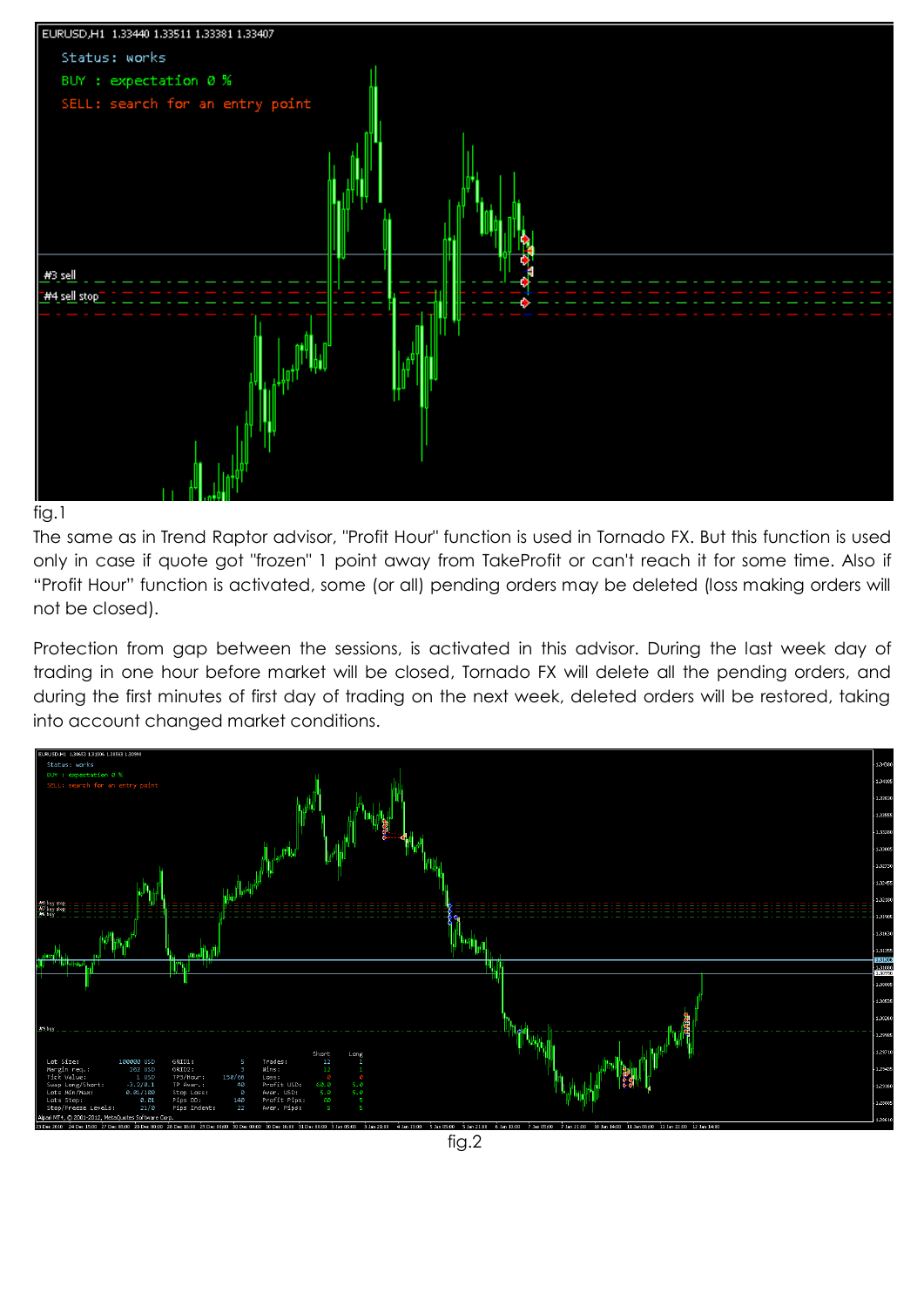



The same as in Trend Raptor advisor, "Profit Hour" function is used in Tornado FX. But this function is used only in case if quote got "frozen" 1 point away from TakeProfit or can't reach it for some time. Also if "Profit Hour" function is activated, some (or all) pending orders may be deleted (loss making orders will not be closed).

Protection from gap between the sessions, is activated in this advisor. During the last week day of trading in one hour before market will be closed, Tornado FX will delete all the pending orders, and during the first minutes of first day of trading on the next week, deleted orders will be restored, taking into account changed market conditions.

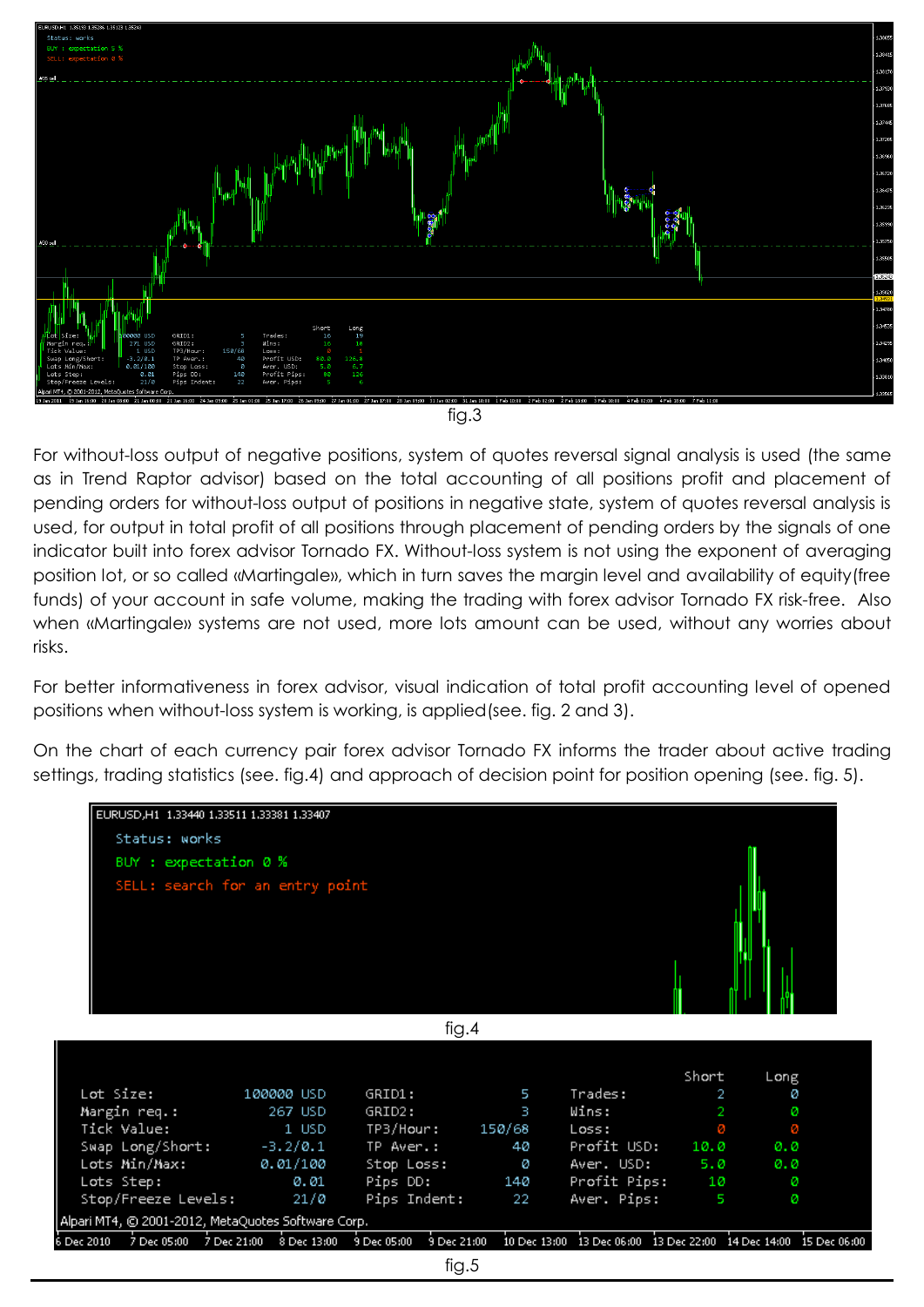

fig.3

For without-loss output of negative positions, system of quotes reversal signal analysis is used (the same as in Trend Raptor advisor) based on the total accounting of all positions profit and placement of pending orders for without-loss output of positions in negative state, system of quotes reversal analysis is used, for output in total profit of all positions through placement of pending orders by the signals of one indicator built into forex advisor Tornado FX. Without-loss system is not using the exponent of averaging position lot, or so called «Martingale», which in turn saves the margin level and availability of equity(free funds) of your account in safe volume, making the trading with forex advisor Tornado FX risk-free. Also when «Martingale» systems are not used, more lots amount can be used, without any worries about risks.

For better informativeness in forex advisor, visual indication of total profit accounting level of opened positions when without-loss system is working, is applied(see. fig. 2 and 3).

On the chart of each currency pair forex advisor Tornado FX informs the trader about active trading settings, trading statistics (see. fig.4) and approach of decision point for position opening (see. fig. 5).

| EURUSD, H1 1,33440 1,33511 1,33381 1,33407         |            |                                                                                                                              |     |                  |              |      |  |  |  |
|----------------------------------------------------|------------|------------------------------------------------------------------------------------------------------------------------------|-----|------------------|--------------|------|--|--|--|
| Status: works                                      |            |                                                                                                                              |     |                  |              |      |  |  |  |
| BUY : expectation 0 %                              |            |                                                                                                                              |     |                  |              |      |  |  |  |
| SELL: search for an entry point                    |            |                                                                                                                              |     |                  |              |      |  |  |  |
| fig.4                                              |            |                                                                                                                              |     |                  |              |      |  |  |  |
|                                                    |            |                                                                                                                              |     |                  |              |      |  |  |  |
|                                                    |            |                                                                                                                              |     |                  | Short        | Long |  |  |  |
| Lot Size:                                          | 100000 USD | GRID1:                                                                                                                       | 5   | Trades:          | $\mathbf{2}$ | ø    |  |  |  |
| Margin req.:                                       | 267 USD    | GRID2:                                                                                                                       | B.  | Wins:            | $\mathbf{2}$ | ø    |  |  |  |
| Tick Value:                                        | 1 USD      | TP3/Hour: 150/68                                                                                                             |     | Loss:            | ø            | ø    |  |  |  |
| Swap Long/Short: -3.2/0.1                          |            | TP Aver.:                                                                                                                    | 40. | Profit USD: 10.0 |              | 0.0  |  |  |  |
| Lots Min/Max:                                      | 0.01/100   | Stop Loss:                                                                                                                   | ø   | Aven. USD: 5.0   |              | 0.0  |  |  |  |
| Lots Step:                                         | 0.01       | Pips DD: 140                                                                                                                 |     | Profit Pips: 10  |              | ø    |  |  |  |
| Stop/Freeze Levels:                                | 21/0       | Pips Indent:                                                                                                                 | -22 | Aver. Pips:      | - 5          | ø    |  |  |  |
| Alpari MT4, © 2001-2012, MetaQuotes Software Corp. |            |                                                                                                                              |     |                  |              |      |  |  |  |
| Dec 2010                                           |            | 7 Dec 05:00 7 Dec 21:00 8 Dec 13:00 9 Dec 05:00 9 Dec 21:00 10 Dec 13:00 13 Dec 06:00 13 Dec 22:00 14 Dec 14:00 15 Dec 06:00 |     |                  |              |      |  |  |  |
| fig.5                                              |            |                                                                                                                              |     |                  |              |      |  |  |  |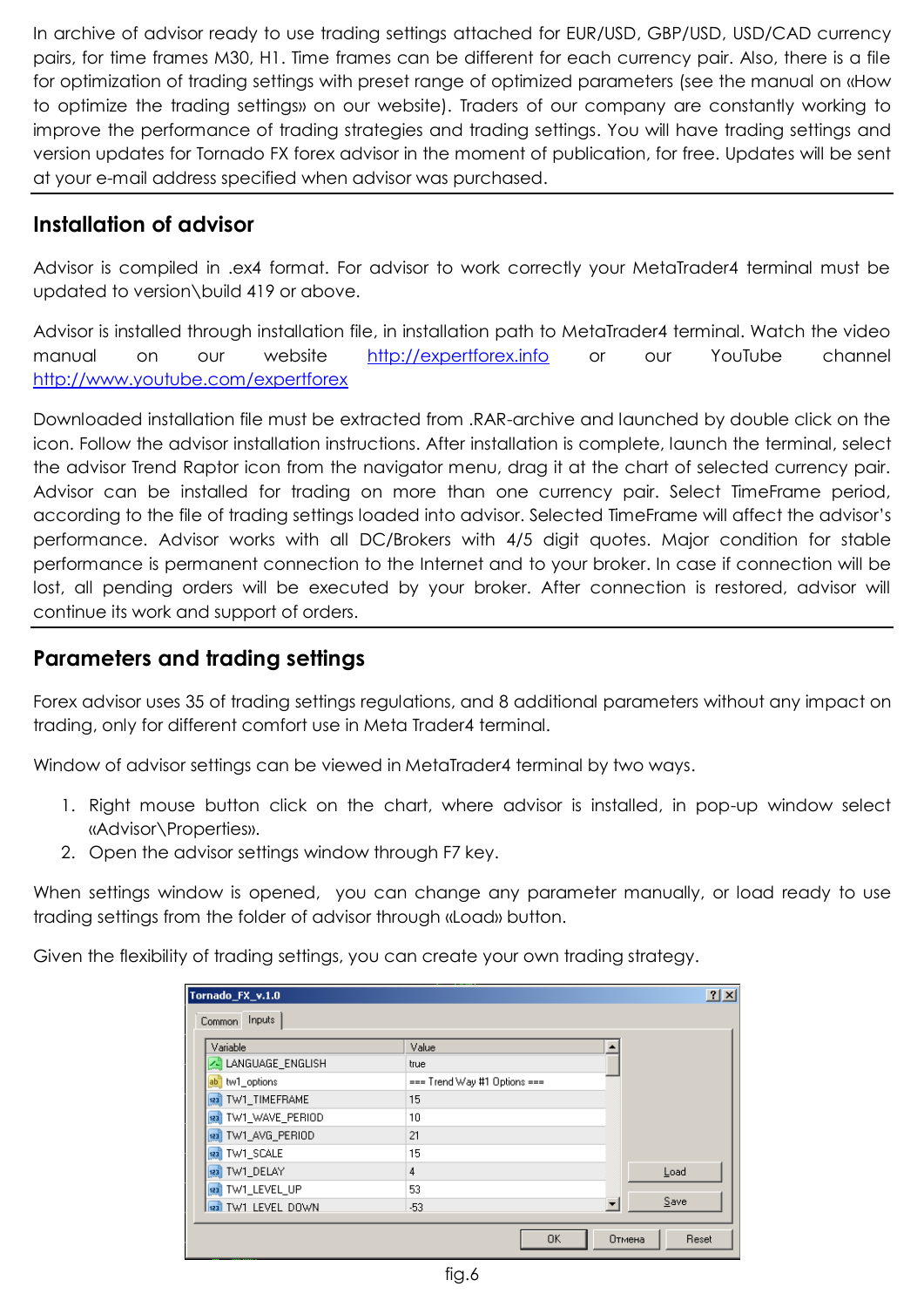In archive of advisor ready to use trading settings attached for EUR/USD, GBP/USD, USD/CAD currency pairs, for time frames М30, Н1. Time frames can be different for each currency pair. Also, there is a file for optimization of trading settings with preset range of optimized parameters (see the manual on «How to optimize the trading settings» on our website). Traders of our company are constantly working to improve the performance of trading strategies and trading settings. You will have trading settings and version updates for Tornado FX forex advisor in the moment of publication, for free. Updates will be sent at your e-mail address specified when advisor was purchased.

## **Installation of advisor**

Advisor is compiled in .ex4 format. For advisor to work correctly your MetaTrader4 terminal must be updated to version\build 419 or above.

Advisor is installed through installation file, in installation path to MetaTrader4 terminal. Watch the video manual on our website [http://expertforex.info](http://expertforex.info/) or our YouTube channel <http://www.youtube.com/expertforex>

Downloaded installation file must be extracted from .RAR-archive and launched by double click on the icon. Follow the advisor installation instructions. After installation is complete, launch the terminal, select the advisor Trend Raptor icon from the navigator menu, drag it at the chart of selected currency pair. Advisor can be installed for trading on more than one currency pair. Select TimeFrame period, according to the file of trading settings loaded into advisor. Selected TimeFrame will affect the advisor's performance. Advisor works with all DC/Brokers with 4/5 digit quotes. Major condition for stable performance is permanent connection to the Internet and to your broker. In case if connection will be lost, all pending orders will be executed by your broker. After connection is restored, advisor will continue its work and support of orders.

#### **Parameters and trading settings**

Forex advisor uses 35 of trading settings regulations, and 8 additional parameters without any impact on trading, only for different comfort use in Meta Trader4 terminal.

Window of advisor settings can be viewed in MetaTrader4 terminal by two ways.

- 1. Right mouse button click on the chart, where advisor is installed, in pop-up window select «Advisor\Properties».
- 2. Open the advisor settings window through F7 key.

When settings window is opened, you can change any parameter manually, or load ready to use trading settings from the folder of advisor through «Load» button.

Given the flexibility of trading settings, you can create your own trading strategy.

| Tornado_FX_v.1.0<br>Inputs<br>Common |                              |    |        | 2x    |
|--------------------------------------|------------------------------|----|--------|-------|
| Variable                             | Value                        |    |        |       |
| LANGUAGE_ENGLISH                     | true                         |    |        |       |
| ab tw1_options                       | === Trend Way #1 Options === |    |        |       |
| 123 TW1_TIMEFRAME                    | 15                           |    |        |       |
| 123 TW1_WAVE_PERIOD                  | 10                           |    |        |       |
| 123 TW1_AVG_PERIOD                   | 21                           |    |        |       |
| 123 TW1_SCALE                        | 15                           |    |        |       |
| 123 TW1 DELAY                        | 4                            |    |        | Load  |
| 123 TW1_LEVEL_UP                     | 53                           |    |        |       |
| 183 TW1 LEVEL DOWN                   | $-53$                        |    |        | Save  |
|                                      |                              | 0K | Отмена | Reset |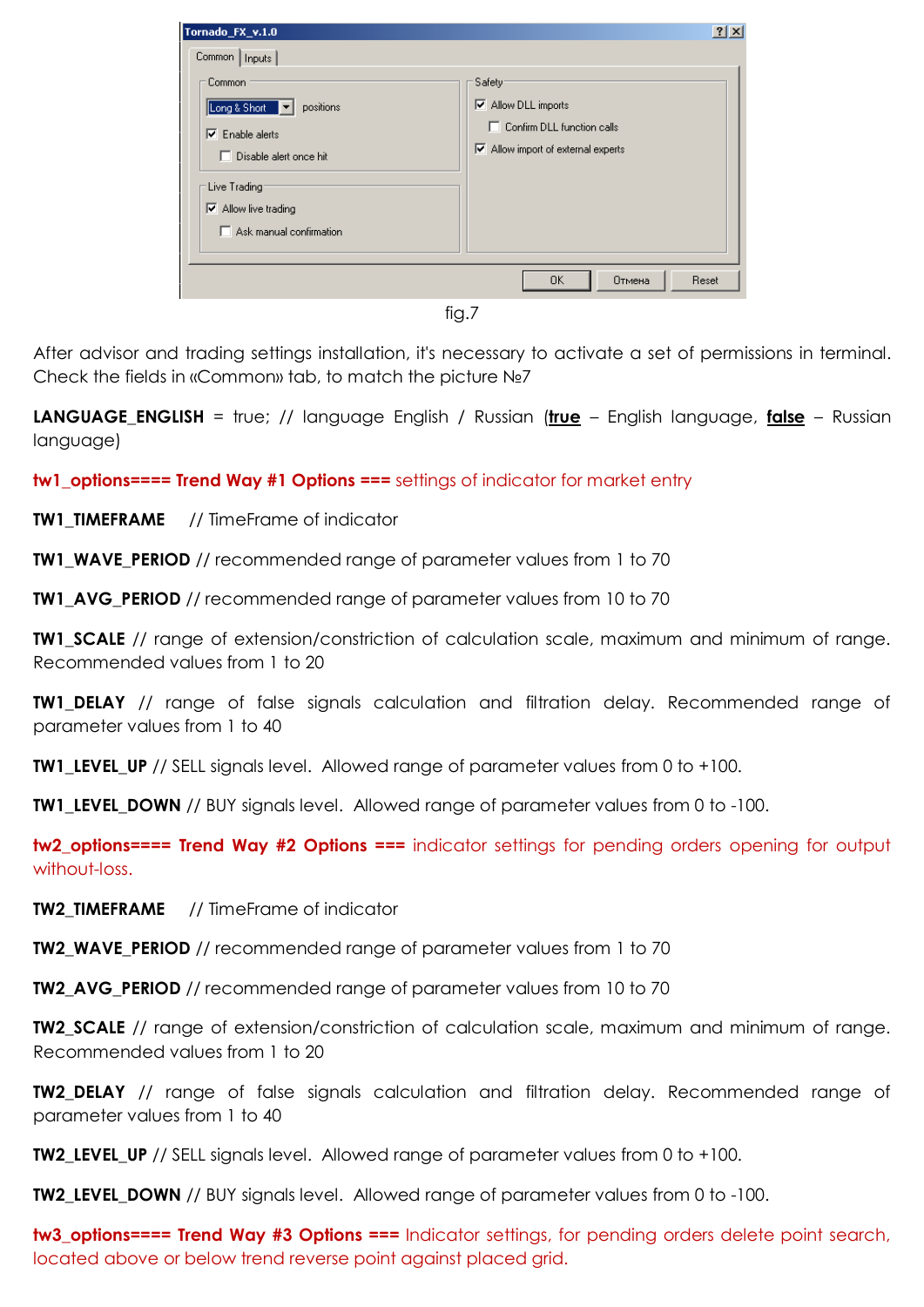| Tornado_FX_v.1.0<br>Common   Inputs                                                                                                                                     | ? X                                                                                                                                         |
|-------------------------------------------------------------------------------------------------------------------------------------------------------------------------|---------------------------------------------------------------------------------------------------------------------------------------------|
| Common<br>Long & Short  <br>positions<br>Enable alerts<br>1⊽<br>Disable alert once hit<br>Live Trading<br>$\nabla$ Allow live trading<br>$\Box$ Ask manual confirmation | Safety <sup>-</sup><br>$\nabla$ Allow DLL imports<br>$\Box$ Confirm DLL function calls<br>$\triangleright$ Allow import of external experts |
|                                                                                                                                                                         | 0K<br>Отмена<br>Reset                                                                                                                       |

fig.7

After advisor and trading settings installation, it's necessary to activate a set of permissions in terminal. Check the fields in «Common» tab, to match the picture №7

**LANGUAGE\_ENGLISH** = true; // language English / Russian (**true** – English language, **false** – Russian language)

**tw1\_options==== Trend Way #1 Options ===** settings of indicator for market entry

**TW1\_TIMEFRAME** // TimeFrame of indicator

**TW1\_WAVE\_PERIOD** // recommended range of parameter values from 1 to 70

**TW1\_AVG\_PERIOD** // recommended range of parameter values from 10 to 70

**TW1 SCALE** // range of extension/constriction of calculation scale, maximum and minimum of range. Recommended values from 1 to 20

**TW1\_DELAY** // range of false signals calculation and filtration delay. Recommended range of parameter values from 1 to 40

**TW1 LEVEL UP** // SELL signals level. Allowed range of parameter values from 0 to +100.

**TW1 LEVEL DOWN** // BUY signals level. Allowed range of parameter values from 0 to -100.

**tw2\_options==== Trend Way #2 Options ===** indicator settings for pending orders opening for output without-loss.

**TW2 TIMEFRAME** // TimeFrame of indicator

**TW2 WAVE PERIOD** // recommended range of parameter values from 1 to 70

**TW2\_AVG\_PERIOD** // recommended range of parameter values from 10 to 70

**TW2 SCALE** // range of extension/constriction of calculation scale, maximum and minimum of range. Recommended values from 1 to 20

**TW2 DELAY** // range of false signals calculation and filtration delay. Recommended range of parameter values from 1 to 40

**TW2\_LEVEL\_UP** // SELL signals level. Allowed range of parameter values from 0 to +100.

**TW2\_LEVEL\_DOWN** // BUY signals level. Allowed range of parameter values from 0 to -100.

**tw3\_options==== Trend Way #3 Options ===** Indicator settings, for pending orders delete point search, located above or below trend reverse point against placed grid.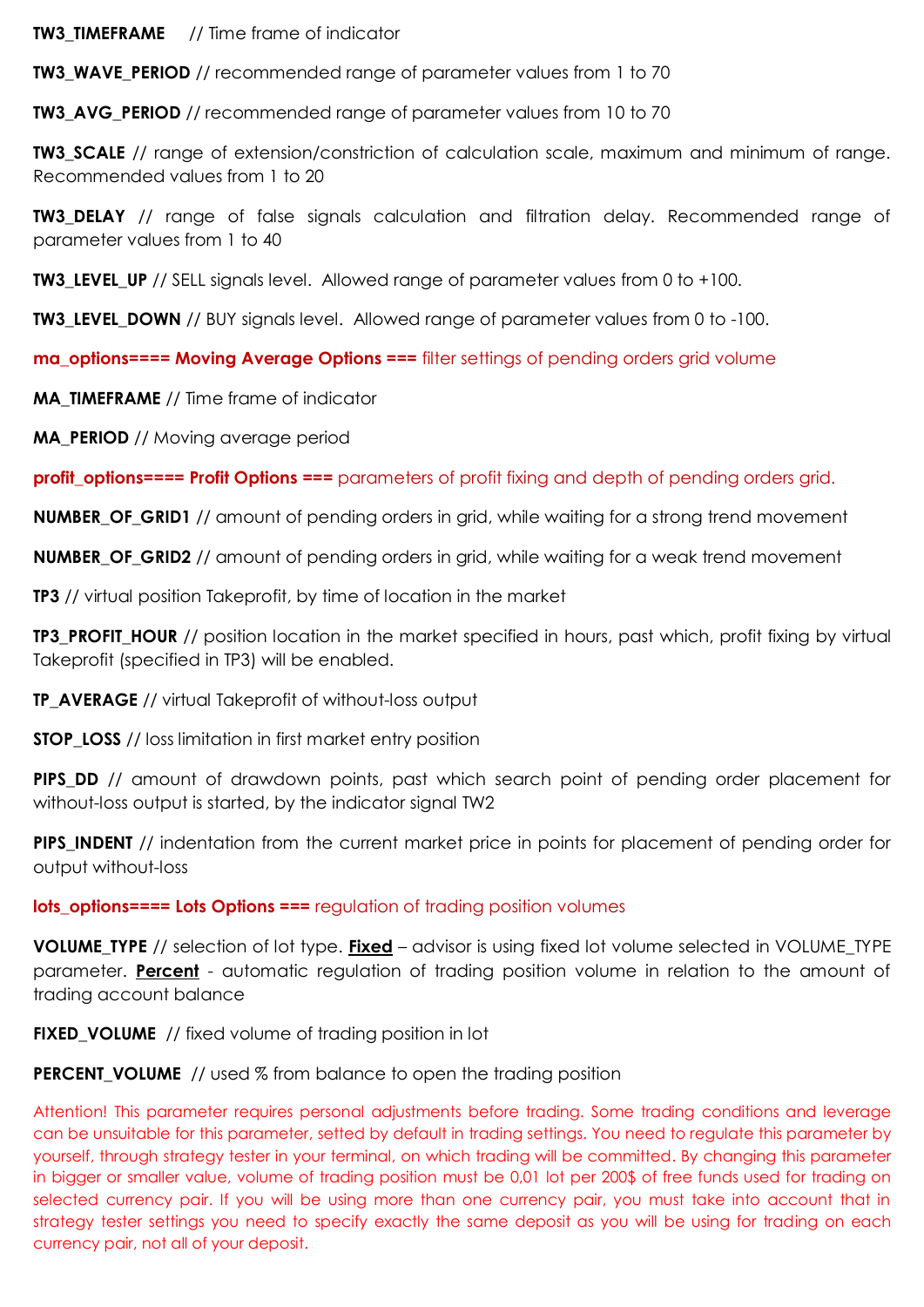**TW3 TIMEFRAME** // Time frame of indicator

**TW3\_WAVE\_PERIOD** // recommended range of parameter values from 1 to 70

**TW3\_AVG\_PERIOD** // recommended range of parameter values from 10 to 70

**TW3 SCALE** // range of extension/constriction of calculation scale, maximum and minimum of range. Recommended values from 1 to 20

**TW3 DELAY** // range of false signals calculation and filtration delay. Recommended range of parameter values from 1 to 40

**TW3 LEVEL UP** // SELL signals level. Allowed range of parameter values from 0 to +100.

**TW3\_LEVEL\_DOWN** // BUY signals level. Allowed range of parameter values from 0 to -100.

**ma\_options==== Moving Average Options ===** filter settings of pending orders grid volume

**MA\_TIMEFRAME** // Time frame of indicator

**MA\_PERIOD** // Moving average period

**profit\_options==== Profit Options ===** parameters of profit fixing and depth of pending orders grid.

**NUMBER\_OF\_GRID1** // amount of pending orders in grid, while waiting for a strong trend movement

**NUMBER OF GRID2** // amount of pending orders in grid, while waiting for a weak trend movement

**TP3** // virtual position Takeprofit, by time of location in the market

**TP3\_PROFIT\_HOUR** // position location in the market specified in hours, past which, profit fixing by virtual Takeprofit (specified in TP3) will be enabled.

**TP\_AVERAGE** // virtual Takeprofit of without-loss output

**STOP\_LOSS** // loss limitation in first market entry position

**PIPS DD** // amount of drawdown points, past which search point of pending order placement for without-loss output is started, by the indicator signal TW2

**PIPS INDENT** // indentation from the current market price in points for placement of pending order for output without-loss

**lots\_options==== Lots Options ===** regulation of trading position volumes

**VOLUME\_TYPE** // selection of lot type. **Fixed** – advisor is using fixed lot volume selected in VOLUME\_TYPE parameter. **Percent** - automatic regulation of trading position volume in relation to the amount of trading account balance

**FIXED\_VOLUME** // fixed volume of trading position in lot

**PERCENT\_VOLUME** // used % from balance to open the trading position

Attention! This parameter requires personal adjustments before trading. Some trading conditions and leverage can be unsuitable for this parameter, setted by default in trading settings. You need to regulate this parameter by yourself, through strategy tester in your terminal, on which trading will be committed. By changing this parameter in bigger or smaller value, volume of trading position must be 0,01 lot per 200\$ of free funds used for trading on selected currency pair. If you will be using more than one currency pair, you must take into account that in strategy tester settings you need to specify exactly the same deposit as you will be using for trading on each currency pair, not all of your deposit.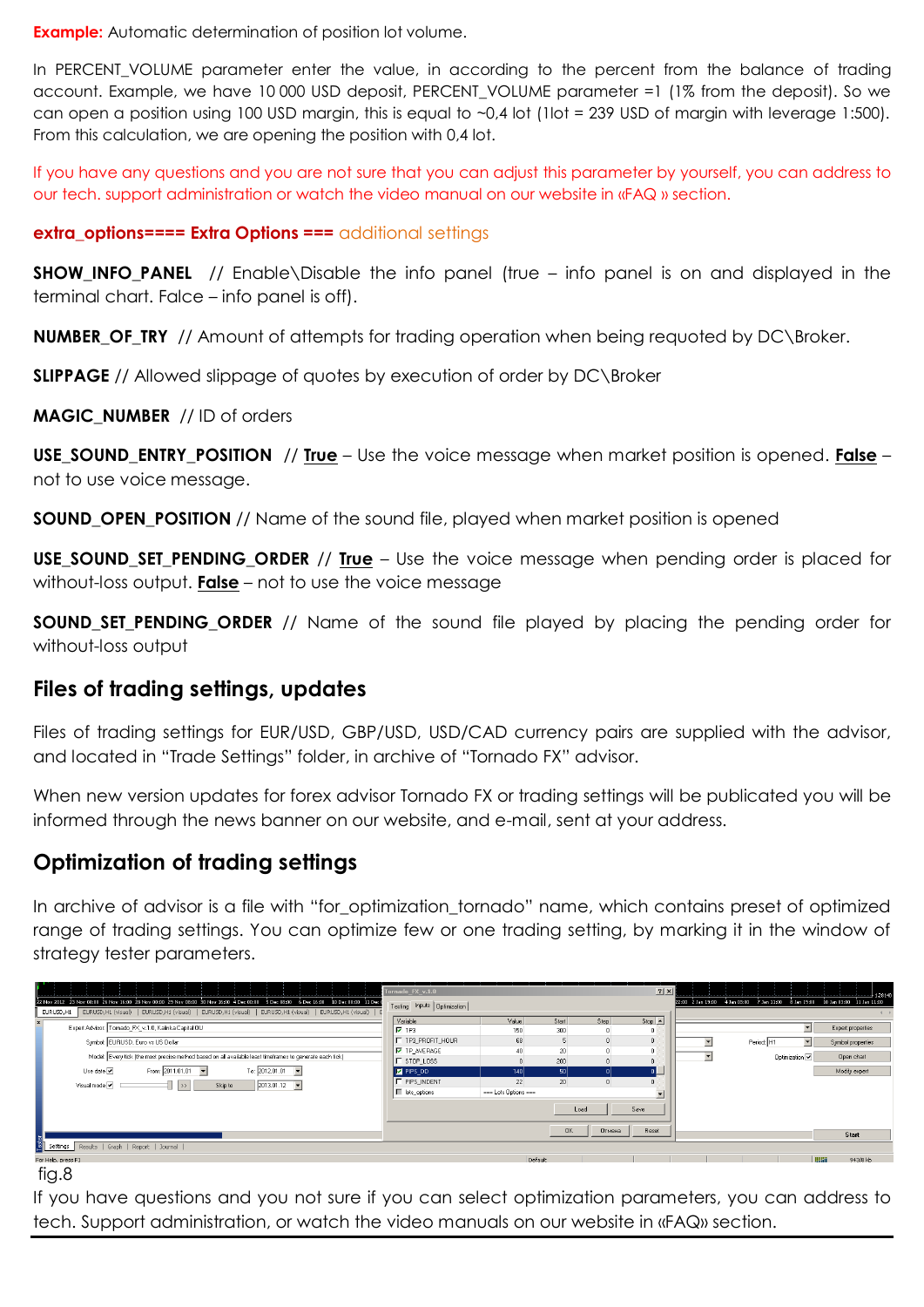**Example:** Automatic determination of position lot volume.

In PERCENT\_VOLUME parameter enter the value, in according to the percent from the balance of trading account. Example, we have 10 000 USD deposit, PERCENT\_VOLUME parameter =1 (1% from the deposit). So we can open a position using 100 USD margin, this is equal to  $\sim 0.4$  lot (1lot = 239 USD of margin with leverage 1:500). From this calculation, we are opening the position with 0,4 lot.

If you have any questions and you are not sure that you can adjust this parameter by yourself, you can address to our tech. support administration or watch the video manual on our website in «FAQ » section.

#### **extra options==== Extra Options ===** additional settings

**SHOW\_INFO\_PANEL** // Enable\Disable the info panel (true – info panel is on and displayed in the terminal chart. Falce – info panel is off).

**NUMBER\_OF\_TRY** // Amount of attempts for trading operation when being requoted by DC\Broker.

**SLIPPAGE** // Allowed slippage of quotes by execution of order by DC\Broker

**MAGIC\_NUMBER** // ID of orders

**USE\_SOUND\_ENTRY\_POSITION** // **True** – Use the voice message when market position is opened. **False** – not to use voice message.

**SOUND\_OPEN\_POSITION** // Name of the sound file, played when market position is opened

**USE\_SOUND\_SET\_PENDING\_ORDER** // **True** – Use the voice message when pending order is placed for without-loss output. **False** – not to use the voice message

**SOUND\_SET\_PENDING\_ORDER** // Name of the sound file played by placing the pending order for without-loss output

#### **Files of trading settings, updates**

Files of trading settings for EUR/USD, GBP/USD, USD/CAD currency pairs are supplied with the advisor, and located in "Trade Settings" folder, in archive of "Tornado FX" advisor.

When new version updates for forex advisor Tornado FX or trading settings will be publicated you will be informed through the news banner on our website, and e-mail, sent at your address.

## **Optimization of trading settings**

In archive of advisor is a file with "for\_optimization\_tornado" name, which contains preset of optimized range of trading settings. You can optimize few or one trading setting, by marking it in the window of strategy tester parameters.

| 22 Nov 2012 23 Nov 08:00 26 Nov 16:00 28 Nov 00:00 29 Nov 08:00 30 Nov 16:00 4 Dec 00:00 5 Dec 08:00 6 Dec 16:00 10 Dec 00:00 11 Dec 1<br>EURUSD,H1 (visual)   EURUSD,H1 (visual)   EURUSD,H1 (visual)   EURUSD,H1 (visual)   EURUSD,H1 (visual)   E<br>EURUSD, H1<br>Expert Advisor: Tomado_FX_v.1.0, Kalinka Capital OU<br>Symbol: EURUSD, Euro vs US Dollar<br>Model: Every tick (the most precise method based on all available least timeframes to generate each tick)<br>Use date $\boxed{\checkmark}$<br>From: 2011.01.01<br>To: 2012.01.01<br>Visual mode V<br>$ 2013.01.12 -$<br>$\rightarrow$<br>Skip to | Tornado_FX_v.1.0<br>Testing Inputs Optimization<br>Variable<br>$\nabla$ TP3<br><b>F</b> TP3 PROFIT HOUR<br><b>V</b> TP_AVERAGE<br>$\Gamma$ stop_Loss<br>M PIPS DD<br>F PIPS_INDENT<br>F lots_options | Value<br>150<br>68<br>40<br> 140 <br>22<br>=== Lots Options === | Start<br>300<br>20<br>200<br>50 <br>20 <sup>1</sup> | Step<br>n.<br>$\mathbf{0}$ | $?$ $\times$ $\uparrow$<br>$Stop \triangle$<br>n<br>n<br>$\mathbf{r}$ | $\blacktriangledown$ | 22:00 2 Jan 19:00 4 Jan 03:00 7 Jan 11:00 8 Jan 19:00 10 Jan 03:00 11 Jan 11:00<br>$\vert \cdot \vert$<br>▾<br>Period: H1<br>Optimization V | Expert properties<br>Symbol properties<br>Open chart<br>Modify expert |
|--------------------------------------------------------------------------------------------------------------------------------------------------------------------------------------------------------------------------------------------------------------------------------------------------------------------------------------------------------------------------------------------------------------------------------------------------------------------------------------------------------------------------------------------------------------------------------------------------------------------|------------------------------------------------------------------------------------------------------------------------------------------------------------------------------------------------------|-----------------------------------------------------------------|-----------------------------------------------------|----------------------------|-----------------------------------------------------------------------|----------------------|---------------------------------------------------------------------------------------------------------------------------------------------|-----------------------------------------------------------------------|
| Settings   Results   Graph   Report   Journal  <br>For Help, press F1                                                                                                                                                                                                                                                                                                                                                                                                                                                                                                                                              |                                                                                                                                                                                                      | Default                                                         | Load<br><b>OK</b>                                   | Save<br>Отмена             | Reset                                                                 |                      |                                                                                                                                             | Start<br><b>TUBBI</b><br>943/8 kb                                     |

fig.8

If you have questions and you not sure if you can select optimization parameters, you can address to tech. Support administration, or watch the video manuals on our website in «FAQ» section.